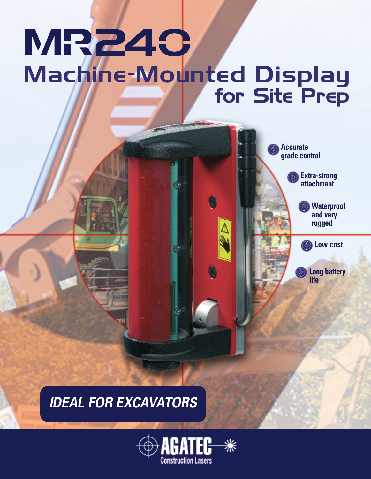## MR240 Machine-Mounted Display for Site Prep

**Accurate grade control**

> **Extra-strong attachment**

> > **Low cost**

**Long battery**

**life**

ФH

**Waterproof and very rugged**